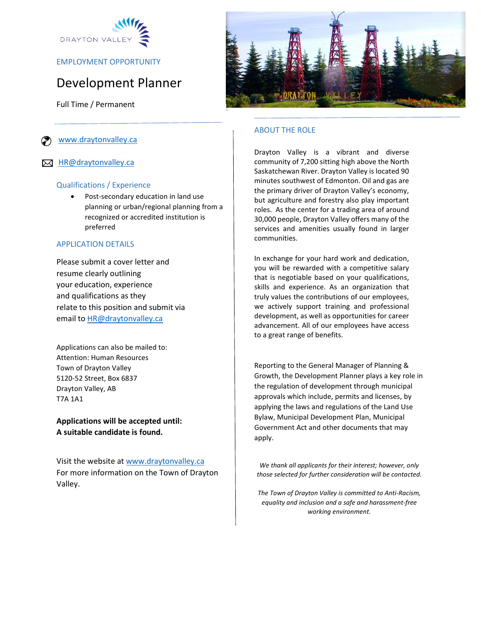

EMPLOYMENT OPPORTUNITY

# Development Planner

Full Time / Permanent

[www.draytonvalley.ca](http://www.draytonvalley.ca/)

**X** [HR@draytonvalley.ca](mailto:HR@draytonvalley.ca)

#### Qualifications / Experience

 Post-secondary education in land use planning or urban/regional planning from a recognized or accredited institution is preferred

#### APPLICATION DETAILS

Please submit a cover letter and resume clearly outlining your education, experience and qualifications as they relate to this position and submit via email to [HR@draytonvalley.ca](mailto:HR@draytonvalley.ca) 

Applications can also be mailed to: Attention: Human Resources Town of Drayton Valley 5120-52 Street, Box 6837 Drayton Valley, AB T7A 1A1

**Applications will be accepted until: A suitable candidate is found.** 

Visit the website at [www.draytonvalley.ca](http://www.draytonvalley.ca/) For more information on the Town of Drayton Valley.



## ABOUT THE ROLE

Drayton Valley is a vibrant and diverse community of 7,200 sitting high above the North Saskatchewan River. Drayton Valley is located 90 minutes southwest of Edmonton. Oil and gas are the primary driver of Drayton Valley's economy, but agriculture and forestry also play important roles. As the center for a trading area of around 30,000 people, Drayton Valley offers many of the services and amenities usually found in larger communities.

In exchange for your hard work and dedication, you will be rewarded with a competitive salary that is negotiable based on your qualifications, skills and experience. As an organization that truly values the contributions of our employees, we actively support training and professional development, as well as opportunities for career advancement. All of our employees have access to a great range of benefits.

Reporting to the General Manager of Planning & Growth, the Development Planner plays a key role in the regulation of development through municipal approvals which include, permits and licenses, by applying the laws and regulations of the Land Use Bylaw, Municipal Development Plan, Municipal Government Act and other documents that may apply.

*We thank all applicants for their interest; however, only those selected for further consideration will be contacted.* 

*The Town of Drayton Valley is committed to Anti-Racism, equality and inclusion and a safe and harassment-free working environment.*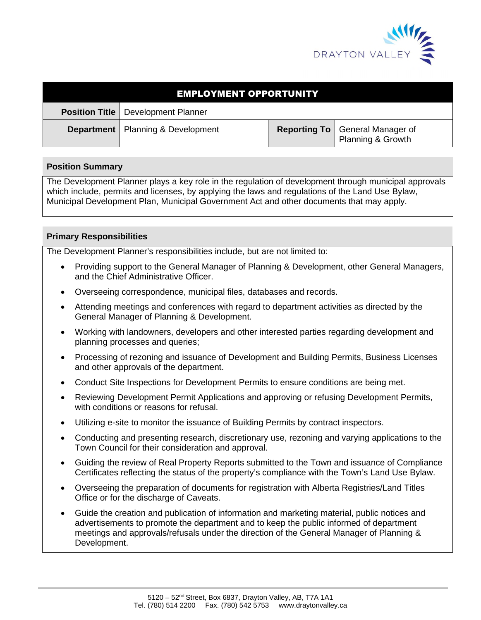

| <b>EMPLOYMENT OPPORTUNITY</b> |                                             |  |                                                               |
|-------------------------------|---------------------------------------------|--|---------------------------------------------------------------|
|                               | <b>Position Title   Development Planner</b> |  |                                                               |
|                               | <b>Department</b>   Planning & Development  |  | <b>Reporting To</b>   General Manager of<br>Planning & Growth |

## **Position Summary**

The Development Planner plays a key role in the regulation of development through municipal approvals which include, permits and licenses, by applying the laws and regulations of the Land Use Bylaw, Municipal Development Plan, Municipal Government Act and other documents that may apply.

# **Primary Responsibilities**

The Development Planner's responsibilities include, but are not limited to:

- Providing support to the General Manager of Planning & Development, other General Managers, and the Chief Administrative Officer.
- Overseeing correspondence, municipal files, databases and records.
- Attending meetings and conferences with regard to department activities as directed by the General Manager of Planning & Development.
- Working with landowners, developers and other interested parties regarding development and planning processes and queries;
- Processing of rezoning and issuance of Development and Building Permits, Business Licenses and other approvals of the department.
- Conduct Site Inspections for Development Permits to ensure conditions are being met.
- Reviewing Development Permit Applications and approving or refusing Development Permits, with conditions or reasons for refusal.
- Utilizing e-site to monitor the issuance of Building Permits by contract inspectors.
- Conducting and presenting research, discretionary use, rezoning and varying applications to the Town Council for their consideration and approval.
- Guiding the review of Real Property Reports submitted to the Town and issuance of Compliance Certificates reflecting the status of the property's compliance with the Town's Land Use Bylaw.
- Overseeing the preparation of documents for registration with Alberta Registries/Land Titles Office or for the discharge of Caveats.
- Guide the creation and publication of information and marketing material, public notices and advertisements to promote the department and to keep the public informed of department meetings and approvals/refusals under the direction of the General Manager of Planning & Development.